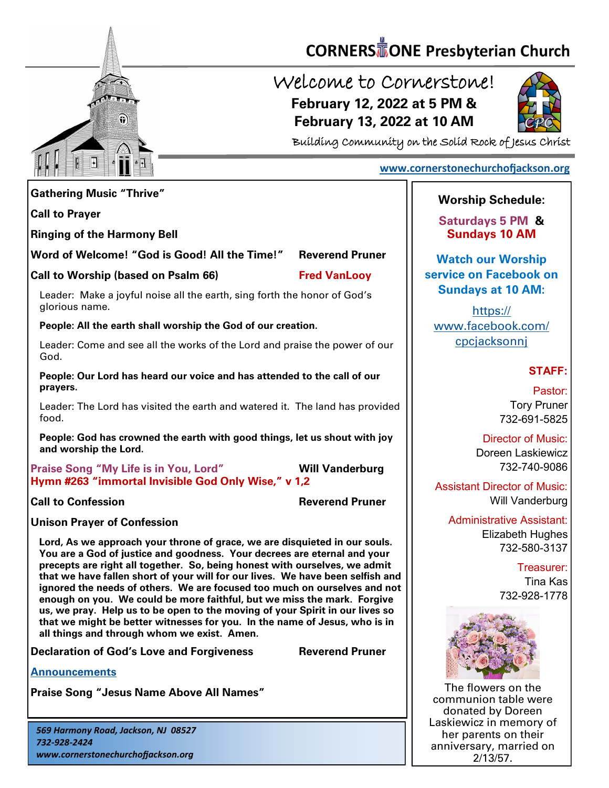

# **CORNERS** TONE Presbyterian Church

## Welcome to Cornerstone! **February 12, 2022 at 5 PM & February 13, 2022 at 10 AM**



Building Community on the Solid Rock of Jesus Christ

#### **[www.cornerstonechurchofjackson.org](http://www.cornerstonechurchofjackson.org)**

| <b>Gathering Music "Thrive"</b>                                                                                                                                                                                                                                                                                                                                                                                                                                                                                                                                                                                                                                                                                                                                           | <b>Worship 9</b>              |
|---------------------------------------------------------------------------------------------------------------------------------------------------------------------------------------------------------------------------------------------------------------------------------------------------------------------------------------------------------------------------------------------------------------------------------------------------------------------------------------------------------------------------------------------------------------------------------------------------------------------------------------------------------------------------------------------------------------------------------------------------------------------------|-------------------------------|
| <b>Call to Prayer</b>                                                                                                                                                                                                                                                                                                                                                                                                                                                                                                                                                                                                                                                                                                                                                     | <b>Saturdays</b>              |
| <b>Ringing of the Harmony Bell</b>                                                                                                                                                                                                                                                                                                                                                                                                                                                                                                                                                                                                                                                                                                                                        | <b>Sundays</b>                |
| Word of Welcome! "God is Good! All the Time!"<br><b>Reverend Pruner</b>                                                                                                                                                                                                                                                                                                                                                                                                                                                                                                                                                                                                                                                                                                   | <b>Watch our</b>              |
| Call to Worship (based on Psalm 66)<br><b>Fred VanLooy</b>                                                                                                                                                                                                                                                                                                                                                                                                                                                                                                                                                                                                                                                                                                                | service on F                  |
| Leader: Make a joyful noise all the earth, sing forth the honor of God's<br>glorious name.                                                                                                                                                                                                                                                                                                                                                                                                                                                                                                                                                                                                                                                                                | <b>Sundays</b><br><u>httr</u> |
| People: All the earth shall worship the God of our creation.                                                                                                                                                                                                                                                                                                                                                                                                                                                                                                                                                                                                                                                                                                              | www.facel                     |
| Leader: Come and see all the works of the Lord and praise the power of our<br>God.                                                                                                                                                                                                                                                                                                                                                                                                                                                                                                                                                                                                                                                                                        | cpcjacl                       |
| People: Our Lord has heard our voice and has attended to the call of our<br>prayers.                                                                                                                                                                                                                                                                                                                                                                                                                                                                                                                                                                                                                                                                                      |                               |
| Leader: The Lord has visited the earth and watered it. The land has provided<br>food.                                                                                                                                                                                                                                                                                                                                                                                                                                                                                                                                                                                                                                                                                     |                               |
| People: God has crowned the earth with good things, let us shout with joy<br>and worship the Lord.                                                                                                                                                                                                                                                                                                                                                                                                                                                                                                                                                                                                                                                                        | Di<br>Dor                     |
| <b>Will Vanderburg</b><br><b>Praise Song "My Life is in You, Lord"</b><br>Hymn #263 "immortal Invisible God Only Wise," v 1,2                                                                                                                                                                                                                                                                                                                                                                                                                                                                                                                                                                                                                                             | <b>Assistant Di</b>           |
| <b>Reverend Pruner</b><br><b>Call to Confession</b>                                                                                                                                                                                                                                                                                                                                                                                                                                                                                                                                                                                                                                                                                                                       |                               |
| <b>Unison Prayer of Confession</b>                                                                                                                                                                                                                                                                                                                                                                                                                                                                                                                                                                                                                                                                                                                                        | Administr                     |
| Lord, As we approach your throne of grace, we are disquieted in our souls.<br>You are a God of justice and goodness. Your decrees are eternal and your<br>precepts are right all together. So, being honest with ourselves, we admit<br>that we have fallen short of your will for our lives. We have been selfish and<br>ignored the needs of others. We are focused too much on ourselves and not<br>enough on you. We could be more faithful, but we miss the mark. Forgive<br>us, we pray. Help us to be open to the moving of your Spirit in our lives so<br>that we might be better witnesses for you. In the name of Jesus, who is in<br>all things and through whom we exist. Amen.<br><b>Reverend Pruner</b><br><b>Declaration of God's Love and Forgiveness</b> | Eli                           |
| <b>Announcements</b>                                                                                                                                                                                                                                                                                                                                                                                                                                                                                                                                                                                                                                                                                                                                                      |                               |
| <b>Praise Song "Jesus Name Above All Names"</b>                                                                                                                                                                                                                                                                                                                                                                                                                                                                                                                                                                                                                                                                                                                           | The flowe                     |
|                                                                                                                                                                                                                                                                                                                                                                                                                                                                                                                                                                                                                                                                                                                                                                           | communior                     |

*569 Harmony Road, Jackson, NJ 08527 732-928-2424 www.cornerstonechurchofjackson.org*

### Schedule:

**s** 5 PM & **Sundays 10 AM**

**r Worship acebook on Sundays at 10 AM:**

 $s$ :// book.com/ <u>ksonni</u>

#### **STAFF:**

Pastor: Tory Pruner 732-691-5825

**irector of Music:** een Laskiewicz 732-740-9086

rector of Music: Will Vanderburg

> rative Assistant: izabeth Hughes 732-580-3137

> > Treasurer: Tina Kas 732-928-1778



ers on the n table were donated by Doreen Laskiewicz in memory of her parents on their anniversary, married on 2/13/57.